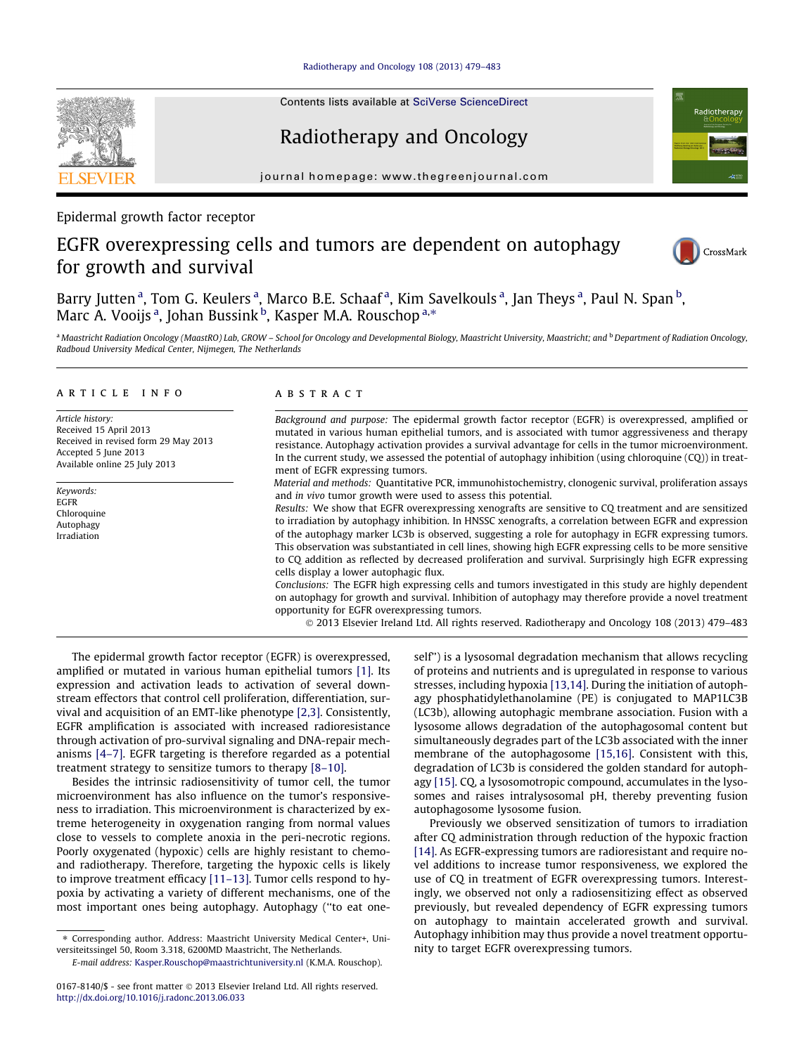# [Radiotherapy and Oncology 108 \(2013\) 479–483](http://dx.doi.org/10.1016/j.radonc.2013.06.033)

Contents lists available at [SciVerse ScienceDirect](http://www.sciencedirect.com/science/journal/01678140)

# Radiotherapy and Oncology

journal homepage: [www.thegreenjournal.com](http://www.thegreenjournal.com)

# Epidermal growth factor receptor

# EGFR overexpressing cells and tumors are dependent on autophagy for growth and survival



Radiotherap

Barry Jutten<sup>a</sup>, Tom G. Keulers<sup>a</sup>, Marco B.E. Schaaf<sup>a</sup>, Kim Savelkouls<sup>a</sup>, Jan Theys<sup>a</sup>, Paul N. Span<sup>b</sup>, Marc A. Vooijs <sup>a</sup>, Johan Bussink <sup>b</sup>, Kasper M.A. Rouschop <sup>a,</sup>\*

a Maastricht Radiation Oncology (MaastRO) Lab, GROW - School for Oncology and Developmental Biology, Maastricht University, Maastricht; and <sup>b</sup> Department of Radiation Oncology, Radboud University Medical Center, Nijmegen, The Netherlands

## article info

Article history: Received 15 April 2013 Received in revised form 29 May 2013 Accepted 5 June 2013 Available online 25 July 2013

Keywords: EGFR Chloroquine Autophagy Irradiation

# A B S T R A C T

Background and purpose: The epidermal growth factor receptor (EGFR) is overexpressed, amplified or mutated in various human epithelial tumors, and is associated with tumor aggressiveness and therapy resistance. Autophagy activation provides a survival advantage for cells in the tumor microenvironment. In the current study, we assessed the potential of autophagy inhibition (using chloroquine (CQ)) in treatment of EGFR expressing tumors.

Material and methods: Quantitative PCR, immunohistochemistry, clonogenic survival, proliferation assays and in vivo tumor growth were used to assess this potential.

Results: We show that EGFR overexpressing xenografts are sensitive to CQ treatment and are sensitized to irradiation by autophagy inhibition. In HNSSC xenografts, a correlation between EGFR and expression of the autophagy marker LC3b is observed, suggesting a role for autophagy in EGFR expressing tumors. This observation was substantiated in cell lines, showing high EGFR expressing cells to be more sensitive to CQ addition as reflected by decreased proliferation and survival. Surprisingly high EGFR expressing cells display a lower autophagic flux.

Conclusions: The EGFR high expressing cells and tumors investigated in this study are highly dependent on autophagy for growth and survival. Inhibition of autophagy may therefore provide a novel treatment opportunity for EGFR overexpressing tumors.

- 2013 Elsevier Ireland Ltd. All rights reserved. Radiotherapy and Oncology 108 (2013) 479–483

The epidermal growth factor receptor (EGFR) is overexpressed, amplified or mutated in various human epithelial tumors [\[1\]](#page-4-0). Its expression and activation leads to activation of several downstream effectors that control cell proliferation, differentiation, survival and acquisition of an EMT-like phenotype [\[2,3\].](#page-4-0) Consistently, EGFR amplification is associated with increased radioresistance through activation of pro-survival signaling and DNA-repair mechanisms [\[4–7\]](#page-4-0). EGFR targeting is therefore regarded as a potential treatment strategy to sensitize tumors to therapy [\[8–10\].](#page-4-0)

Besides the intrinsic radiosensitivity of tumor cell, the tumor microenvironment has also influence on the tumor's responsiveness to irradiation. This microenvironment is characterized by extreme heterogeneity in oxygenation ranging from normal values close to vessels to complete anoxia in the peri-necrotic regions. Poorly oxygenated (hypoxic) cells are highly resistant to chemoand radiotherapy. Therefore, targeting the hypoxic cells is likely to improve treatment efficacy [\[11–13\]](#page-4-0). Tumor cells respond to hypoxia by activating a variety of different mechanisms, one of the most important ones being autophagy. Autophagy (''to eat oneself'') is a lysosomal degradation mechanism that allows recycling of proteins and nutrients and is upregulated in response to various stresses, including hypoxia [\[13,14\].](#page-4-0) During the initiation of autophagy phosphatidylethanolamine (PE) is conjugated to MAP1LC3B (LC3b), allowing autophagic membrane association. Fusion with a lysosome allows degradation of the autophagosomal content but simultaneously degrades part of the LC3b associated with the inner membrane of the autophagosome [\[15,16\]](#page-4-0). Consistent with this, degradation of LC3b is considered the golden standard for autophagy [\[15\]](#page-4-0). CQ, a lysosomotropic compound, accumulates in the lysosomes and raises intralysosomal pH, thereby preventing fusion autophagosome lysosome fusion.

Previously we observed sensitization of tumors to irradiation after CQ administration through reduction of the hypoxic fraction [\[14\]](#page-4-0). As EGFR-expressing tumors are radioresistant and require novel additions to increase tumor responsiveness, we explored the use of CQ in treatment of EGFR overexpressing tumors. Interestingly, we observed not only a radiosensitizing effect as observed previously, but revealed dependency of EGFR expressing tumors on autophagy to maintain accelerated growth and survival. Autophagy inhibition may thus provide a novel treatment opportunity to target EGFR overexpressing tumors.



<sup>⇑</sup> Corresponding author. Address: Maastricht University Medical Center+, Universiteitssingel 50, Room 3.318, 6200MD Maastricht, The Netherlands.

E-mail address: [Kasper.Rouschop@maastrichtuniversity.nl](mailto:Kasper.Rouschop@maastrichtuniversity.nl) (K.M.A. Rouschop).

<sup>0167-8140/\$ -</sup> see front matter © 2013 Elsevier Ireland Ltd. All rights reserved. <http://dx.doi.org/10.1016/j.radonc.2013.06.033>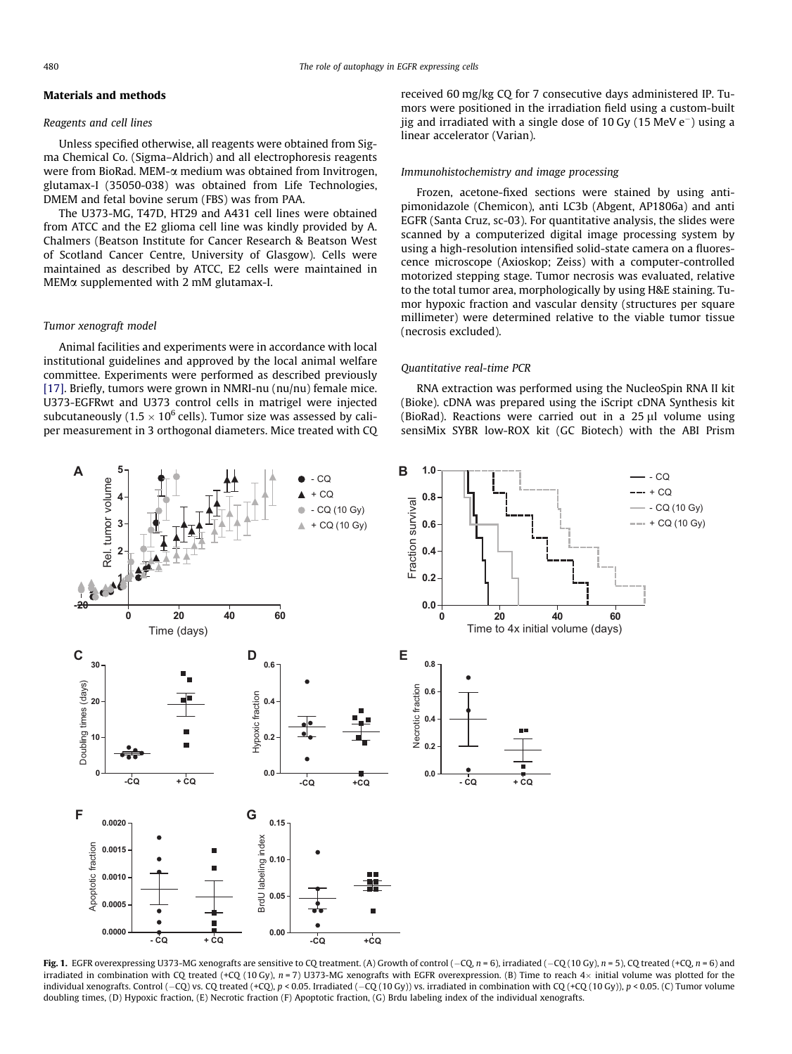# <span id="page-1-0"></span>Materials and methods

# Reagents and cell lines

Unless specified otherwise, all reagents were obtained from Sigma Chemical Co. (Sigma–Aldrich) and all electrophoresis reagents were from BioRad. MEM-a medium was obtained from Invitrogen, glutamax-I (35050-038) was obtained from Life Technologies, DMEM and fetal bovine serum (FBS) was from PAA.

The U373-MG, T47D, HT29 and A431 cell lines were obtained from ATCC and the E2 glioma cell line was kindly provided by A. Chalmers (Beatson Institute for Cancer Research & Beatson West of Scotland Cancer Centre, University of Glasgow). Cells were maintained as described by ATCC, E2 cells were maintained in  $MEM\alpha$  supplemented with 2 mM glutamax-I.

# Tumor xenograft model

Animal facilities and experiments were in accordance with local institutional guidelines and approved by the local animal welfare committee. Experiments were performed as described previously [\[17\]](#page-4-0). Briefly, tumors were grown in NMRI-nu (nu/nu) female mice. U373-EGFRwt and U373 control cells in matrigel were injected subcutaneously (1.5  $\times$  10 $^6$  cells). Tumor size was assessed by caliper measurement in 3 orthogonal diameters. Mice treated with CQ received 60 mg/kg CQ for 7 consecutive days administered IP. Tumors were positioned in the irradiation field using a custom-built iig and irradiated with a single dose of 10 Gy  $(15 \text{ MeV e}^{-})$  using a linear accelerator (Varian).

#### Immunohistochemistry and image processing

Frozen, acetone-fixed sections were stained by using antipimonidazole (Chemicon), anti LC3b (Abgent, AP1806a) and anti EGFR (Santa Cruz, sc-03). For quantitative analysis, the slides were scanned by a computerized digital image processing system by using a high-resolution intensified solid-state camera on a fluorescence microscope (Axioskop; Zeiss) with a computer-controlled motorized stepping stage. Tumor necrosis was evaluated, relative to the total tumor area, morphologically by using H&E staining. Tumor hypoxic fraction and vascular density (structures per square millimeter) were determined relative to the viable tumor tissue (necrosis excluded).

#### Quantitative real-time PCR

RNA extraction was performed using the NucleoSpin RNA II kit (Bioke). cDNA was prepared using the iScript cDNA Synthesis kit (BioRad). Reactions were carried out in a  $25 \mu l$  volume using sensiMix SYBR low-ROX kit (GC Biotech) with the ABI Prism



Fig. 1. EGFR overexpressing U373-MG xenografts are sensitive to CQ treatment. (A) Growth of control  $(-CQ, n = 6)$ , irradiated  $(-CQ, (10 \text{ Gy})$ ,  $n = 5)$ , CQ treated  $(+CQ, n = 6)$  and irradiated in combination with CQ treated (+CQ (10 Gy),  $n$  = 7) U373-MG xenografts with EGFR overexpression. (B) Time to reach 4 $\times$  initial volume was plotted for the individual xenografts. Control (-CQ) vs. CQ treated (+CQ), p < 0.05. Irradiated (-CQ (10 Gy)) vs. irradiated in combination with CQ (+CQ (10 Gy)), p < 0.05. (C) Tumor volume doubling times, (D) Hypoxic fraction, (E) Necrotic fraction (F) Apoptotic fraction, (G) Brdu labeling index of the individual xenografts.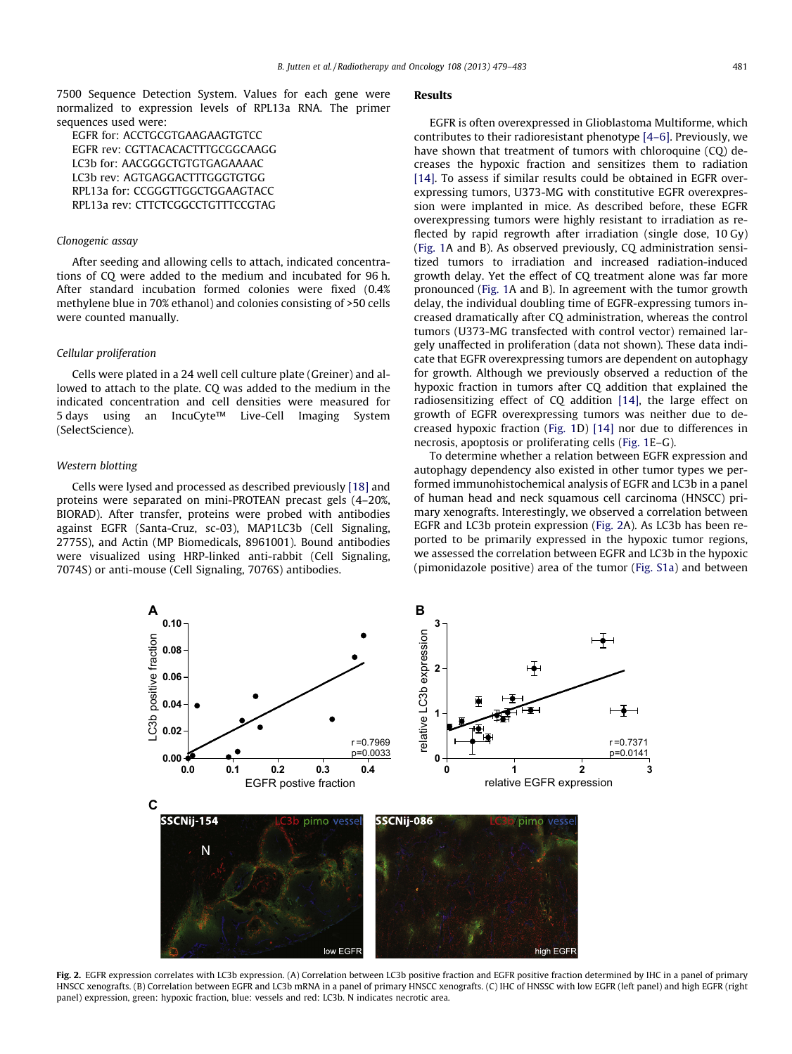<span id="page-2-0"></span>7500 Sequence Detection System. Values for each gene were normalized to expression levels of RPL13a RNA. The primer sequences used were:

EGFR for: ACCTGCGTGAAGAAGTGTCC EGFR rev: CGTTACACACTTTGCGGCAAGG LC3b for: AACGGGCTGTGTGAGAAAAC LC3b rev: AGTGAGGACTTTGGGTGTGG RPL13a for: CCGGGTTGGCTGGAAGTACC RPL13a rev: CTTCTCGGCCTGTTTCCGTAG

# Clonogenic assay

After seeding and allowing cells to attach, indicated concentrations of CQ were added to the medium and incubated for 96 h. After standard incubation formed colonies were fixed (0.4% methylene blue in 70% ethanol) and colonies consisting of >50 cells were counted manually.

#### Cellular proliferation

Cells were plated in a 24 well cell culture plate (Greiner) and allowed to attach to the plate. CQ was added to the medium in the indicated concentration and cell densities were measured for 5 days using an IncuCyte™ Live-Cell Imaging System (SelectScience).

#### Western blotting

Cells were lysed and processed as described previously [\[18\]](#page-4-0) and proteins were separated on mini-PROTEAN precast gels (4–20%, BIORAD). After transfer, proteins were probed with antibodies against EGFR (Santa-Cruz, sc-03), MAP1LC3b (Cell Signaling, 2775S), and Actin (MP Biomedicals, 8961001). Bound antibodies were visualized using HRP-linked anti-rabbit (Cell Signaling, 7074S) or anti-mouse (Cell Signaling, 7076S) antibodies.

# Results

EGFR is often overexpressed in Glioblastoma Multiforme, which contributes to their radioresistant phenotype [\[4–6\].](#page-4-0) Previously, we have shown that treatment of tumors with chloroquine (CQ) decreases the hypoxic fraction and sensitizes them to radiation [\[14\]](#page-4-0). To assess if similar results could be obtained in EGFR overexpressing tumors, U373-MG with constitutive EGFR overexpression were implanted in mice. As described before, these EGFR overexpressing tumors were highly resistant to irradiation as reflected by rapid regrowth after irradiation (single dose, 10 Gy) ([Fig. 1](#page-1-0)A and B). As observed previously, CQ administration sensitized tumors to irradiation and increased radiation-induced growth delay. Yet the effect of CQ treatment alone was far more pronounced [\(Fig. 1](#page-1-0)A and B). In agreement with the tumor growth delay, the individual doubling time of EGFR-expressing tumors increased dramatically after CQ administration, whereas the control tumors (U373-MG transfected with control vector) remained largely unaffected in proliferation (data not shown). These data indicate that EGFR overexpressing tumors are dependent on autophagy for growth. Although we previously observed a reduction of the hypoxic fraction in tumors after CQ addition that explained the radiosensitizing effect of CQ addition [\[14\],](#page-4-0) the large effect on growth of EGFR overexpressing tumors was neither due to decreased hypoxic fraction ([Fig. 1D](#page-1-0)) [\[14\]](#page-4-0) nor due to differences in necrosis, apoptosis or proliferating cells [\(Fig. 1E](#page-1-0)–G).

To determine whether a relation between EGFR expression and autophagy dependency also existed in other tumor types we performed immunohistochemical analysis of EGFR and LC3b in a panel of human head and neck squamous cell carcinoma (HNSCC) primary xenografts. Interestingly, we observed a correlation between EGFR and LC3b protein expression (Fig. 2A). As LC3b has been reported to be primarily expressed in the hypoxic tumor regions, we assessed the correlation between EGFR and LC3b in the hypoxic (pimonidazole positive) area of the tumor (Fig. S1a) and between



Fig. 2. EGFR expression correlates with LC3b expression. (A) Correlation between LC3b positive fraction and EGFR positive fraction determined by IHC in a panel of primary HNSCC xenografts. (B) Correlation between EGFR and LC3b mRNA in a panel of primary HNSCC xenografts. (C) IHC of HNSSC with low EGFR (left panel) and high EGFR (right panel) expression, green: hypoxic fraction, blue: vessels and red: LC3b. N indicates necrotic area.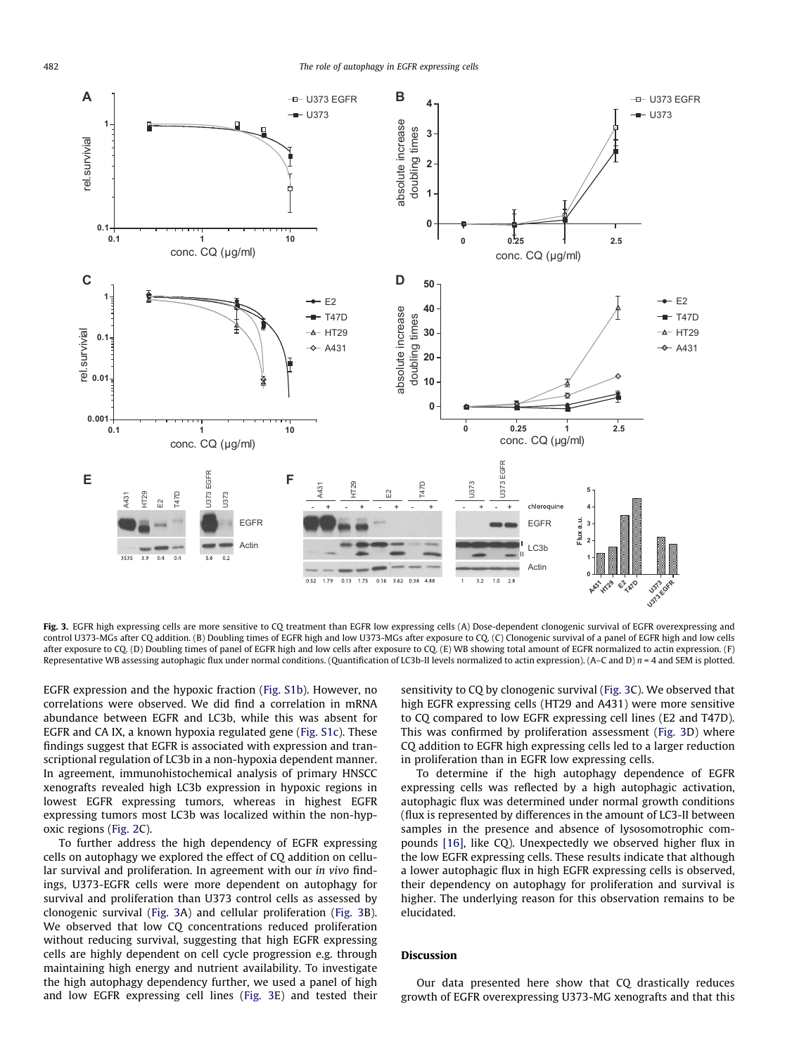![](_page_3_Figure_2.jpeg)

Fig. 3. EGFR high expressing cells are more sensitive to CQ treatment than EGFR low expressing cells (A) Dose-dependent clonogenic survival of EGFR overexpressing and control U373-MGs after CQ addition. (B) Doubling times of EGFR high and low U373-MGs after exposure to CQ. (C) Clonogenic survival of a panel of EGFR high and low cells after exposure to CQ. (D) Doubling times of panel of EGFR high and low cells after exposure to CQ. (E) WB showing total amount of EGFR normalized to actin expression. (F) Representative WB assessing autophagic flux under normal conditions. (Quantification of LC3b-II levels normalized to actin expression). (A–C and D)  $n = 4$  and SEM is plotted.

EGFR expression and the hypoxic fraction (Fig. S1b). However, no correlations were observed. We did find a correlation in mRNA abundance between EGFR and LC3b, while this was absent for EGFR and CA IX, a known hypoxia regulated gene (Fig. S1c). These findings suggest that EGFR is associated with expression and transcriptional regulation of LC3b in a non-hypoxia dependent manner. In agreement, immunohistochemical analysis of primary HNSCC xenografts revealed high LC3b expression in hypoxic regions in lowest EGFR expressing tumors, whereas in highest EGFR expressing tumors most LC3b was localized within the non-hypoxic regions [\(Fig. 2C](#page-2-0)).

To further address the high dependency of EGFR expressing cells on autophagy we explored the effect of CQ addition on cellular survival and proliferation. In agreement with our in vivo findings, U373-EGFR cells were more dependent on autophagy for survival and proliferation than U373 control cells as assessed by clonogenic survival (Fig. 3A) and cellular proliferation (Fig. 3B). We observed that low CQ concentrations reduced proliferation without reducing survival, suggesting that high EGFR expressing cells are highly dependent on cell cycle progression e.g. through maintaining high energy and nutrient availability. To investigate the high autophagy dependency further, we used a panel of high and low EGFR expressing cell lines (Fig. 3E) and tested their sensitivity to CQ by clonogenic survival (Fig. 3C). We observed that high EGFR expressing cells (HT29 and A431) were more sensitive to CQ compared to low EGFR expressing cell lines (E2 and T47D). This was confirmed by proliferation assessment (Fig. 3D) where CQ addition to EGFR high expressing cells led to a larger reduction in proliferation than in EGFR low expressing cells.

To determine if the high autophagy dependence of EGFR expressing cells was reflected by a high autophagic activation, autophagic flux was determined under normal growth conditions (flux is represented by differences in the amount of LC3-II between samples in the presence and absence of lysosomotrophic compounds [\[16\],](#page-4-0) like CQ). Unexpectedly we observed higher flux in the low EGFR expressing cells. These results indicate that although a lower autophagic flux in high EGFR expressing cells is observed, their dependency on autophagy for proliferation and survival is higher. The underlying reason for this observation remains to be elucidated.

# Discussion

Our data presented here show that CQ drastically reduces growth of EGFR overexpressing U373-MG xenografts and that this